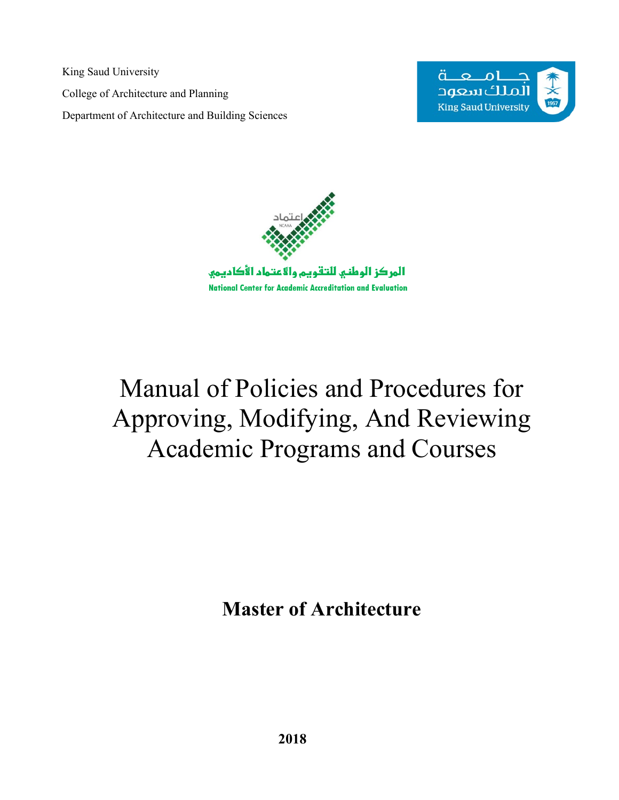<span id="page-0-0"></span>King Saud University College of Architecture and Planning Department of Architecture and Building Sciences





# Manual of Policies and Procedures for Approving, Modifying, And Reviewing Academic Programs and Courses

**Master of Architecture**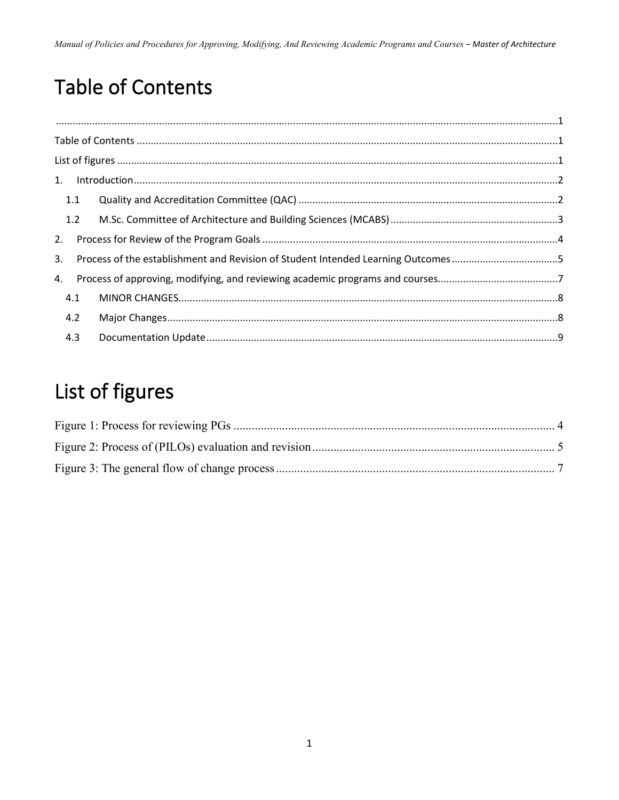## <span id="page-1-0"></span>**Table of Contents**

|    | 1.1 |  |  |
|----|-----|--|--|
|    | 1.2 |  |  |
| 2. |     |  |  |
| 3. |     |  |  |
|    |     |  |  |
|    | 4.1 |  |  |
|    | 4.2 |  |  |
|    | 4.3 |  |  |

## <span id="page-1-1"></span>List of figures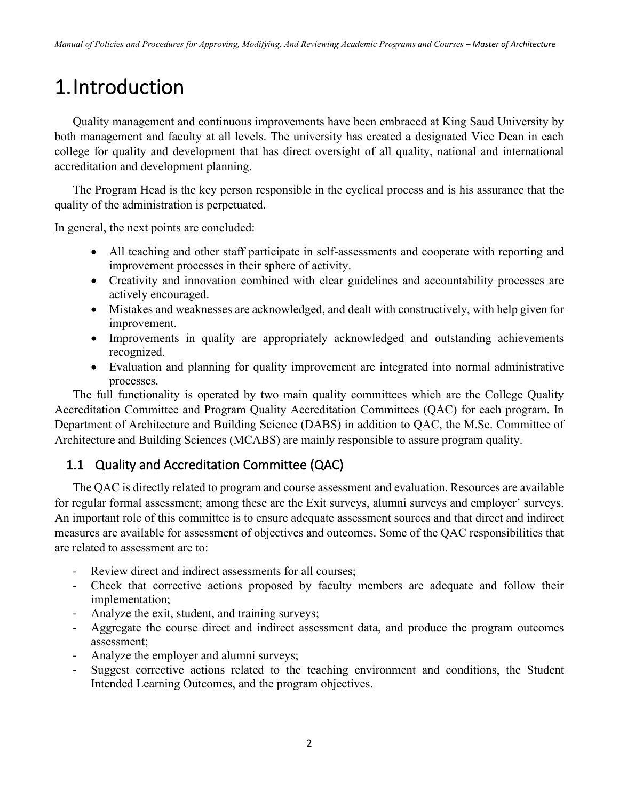## <span id="page-2-0"></span>1.Introduction

Quality management and continuous improvements have been embraced at King Saud University by both management and faculty at all levels. The university has created a designated Vice Dean in each college for quality and development that has direct oversight of all quality, national and international accreditation and development planning.

The Program Head is the key person responsible in the cyclical process and is his assurance that the quality of the administration is perpetuated.

In general, the next points are concluded:

- All teaching and other staff participate in self-assessments and cooperate with reporting and improvement processes in their sphere of activity.
- Creativity and innovation combined with clear guidelines and accountability processes are actively encouraged.
- Mistakes and weaknesses are acknowledged, and dealt with constructively, with help given for improvement.
- Improvements in quality are appropriately acknowledged and outstanding achievements recognized.
- Evaluation and planning for quality improvement are integrated into normal administrative processes.

The full functionality is operated by two main quality committees which are the College Quality Accreditation Committee and Program Quality Accreditation Committees (QAC) for each program. In Department of Architecture and Building Science (DABS) in addition to QAC, the M.Sc. Committee of Architecture and Building Sciences (MCABS) are mainly responsible to assure program quality.

#### <span id="page-2-1"></span>1.1 Quality and Accreditation Committee (QAC)

The QAC is directly related to program and course assessment and evaluation. Resources are available for regular formal assessment; among these are the Exit surveys, alumni surveys and employer' surveys. An important role of this committee is to ensure adequate assessment sources and that direct and indirect measures are available for assessment of objectives and outcomes. Some of the QAC responsibilities that are related to assessment are to:

- Review direct and indirect assessments for all courses;
- Check that corrective actions proposed by faculty members are adequate and follow their implementation;
- Analyze the exit, student, and training surveys;
- Aggregate the course direct and indirect assessment data, and produce the program outcomes assessment;
- Analyze the employer and alumni surveys;
- Suggest corrective actions related to the teaching environment and conditions, the Student Intended Learning Outcomes, and the program objectives.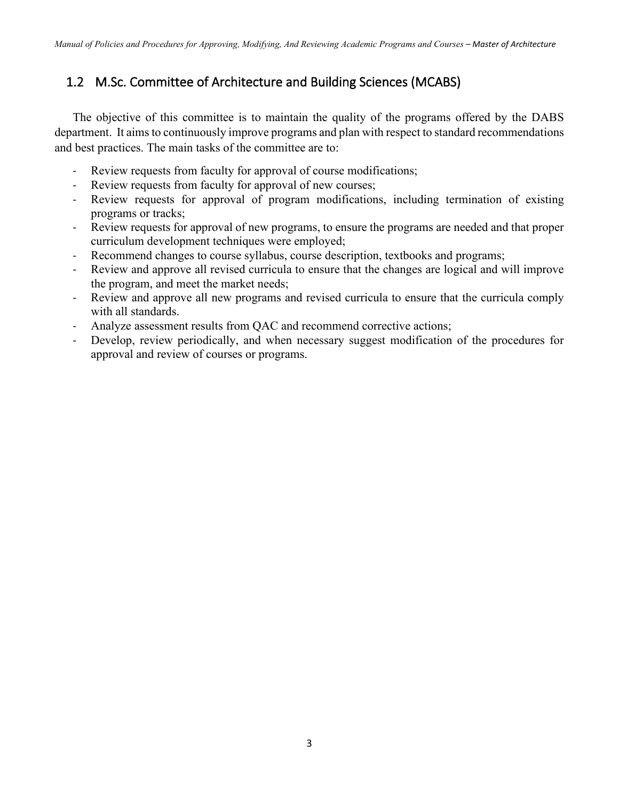### <span id="page-3-0"></span>1.2 M.Sc. Committee of Architecture and Building Sciences (MCABS)

The objective of this committee is to maintain the quality of the programs offered by the DABS department. It aims to continuously improve programs and plan with respect to standard recommendations and best practices. The main tasks of the committee are to:

- Review requests from faculty for approval of course modifications;
- Review requests from faculty for approval of new courses;
- Review requests for approval of program modifications, including termination of existing programs or tracks;
- Review requests for approval of new programs, to ensure the programs are needed and that proper curriculum development techniques were employed;
- Recommend changes to course syllabus, course description, textbooks and programs;
- Review and approve all revised curricula to ensure that the changes are logical and will improve the program, and meet the market needs;
- Review and approve all new programs and revised curricula to ensure that the curricula comply with all standards.
- Analyze assessment results from QAC and recommend corrective actions;
- Develop, review periodically, and when necessary suggest modification of the procedures for approval and review of courses or programs.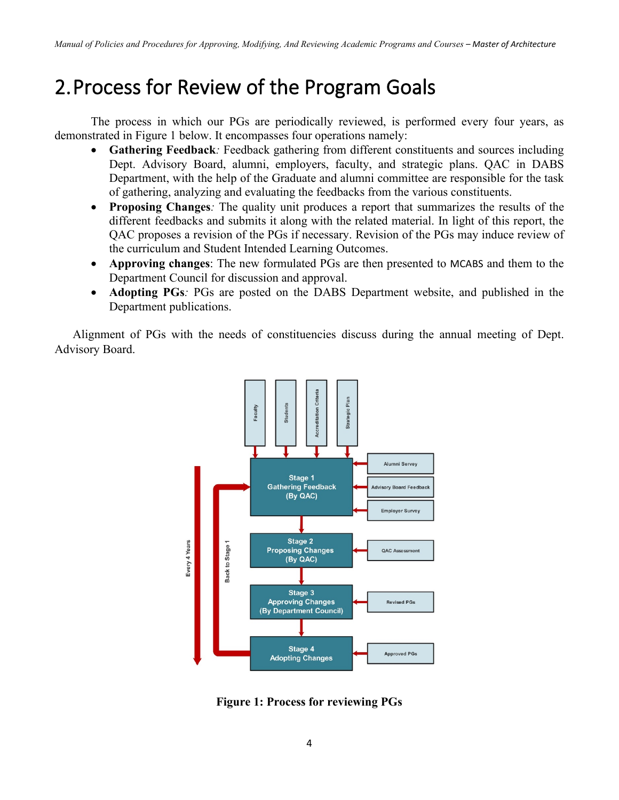### <span id="page-4-0"></span>2.Process for Review of the Program Goals

The process in which our PGs are periodically reviewed, is performed every four years, as demonstrated in Figure 1 below. It encompasses four operations namely:

- **Gathering Feedback***:* Feedback gathering from different constituents and sources including Dept. Advisory Board, alumni, employers, faculty, and strategic plans. QAC in DABS Department, with the help of the Graduate and alumni committee are responsible for the task of gathering, analyzing and evaluating the feedbacks from the various constituents.
- **Proposing Changes***:* The quality unit produces a report that summarizes the results of the different feedbacks and submits it along with the related material. In light of this report, the QAC proposes a revision of the PGs if necessary. Revision of the PGs may induce review of the curriculum and Student Intended Learning Outcomes.
- **Approving changes**: The new formulated PGs are then presented to MCABS and them to the Department Council for discussion and approval.
- **Adopting PGs***:* PGs are posted on the DABS Department website, and published in the Department publications.

Alignment of PGs with the needs of constituencies discuss during the annual meeting of Dept. Advisory Board.



<span id="page-4-1"></span>**Figure 1: Process for reviewing PGs**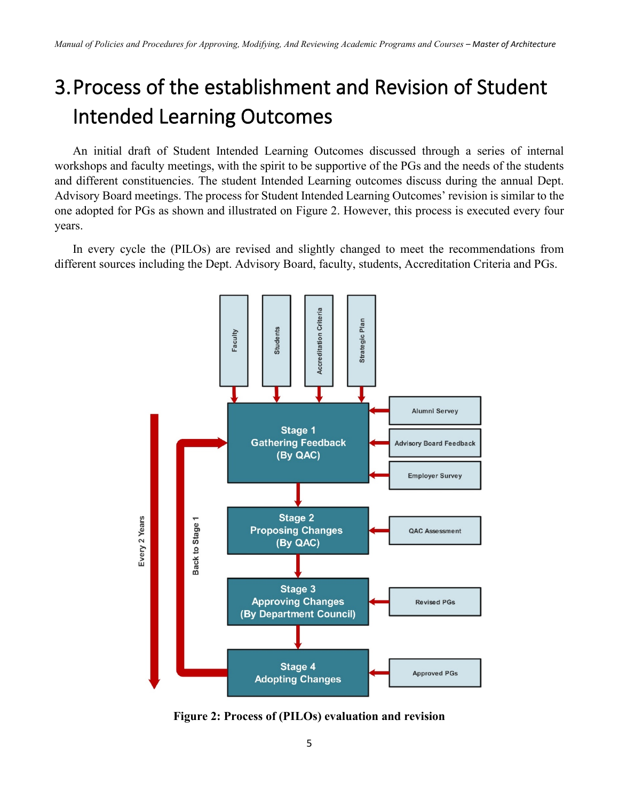## <span id="page-5-0"></span>3.Process of the establishment and Revision of Student Intended Learning Outcomes

An initial draft of Student Intended Learning Outcomes discussed through a series of internal workshops and faculty meetings, with the spirit to be supportive of the PGs and the needs of the students and different constituencies. The student Intended Learning outcomes discuss during the annual Dept. Advisory Board meetings. The process for Student Intended Learning Outcomes' revision is similar to the one adopted for PGs as shown and illustrated on Figure 2. However, this process is executed every four years.

In every cycle the (PILOs) are revised and slightly changed to meet the recommendations from different sources including the Dept. Advisory Board, faculty, students, Accreditation Criteria and PGs.



<span id="page-5-1"></span>**Figure 2: Process of (PILOs) evaluation and revision**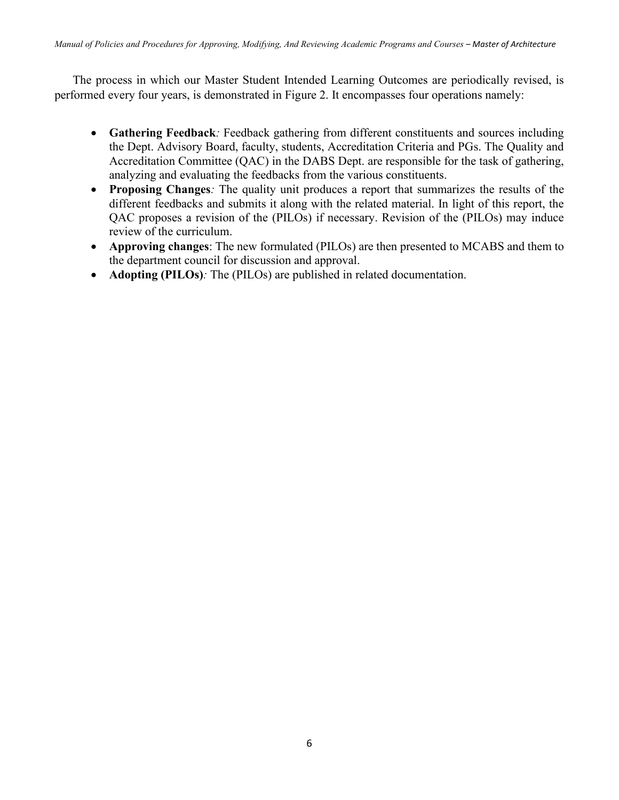The process in which our Master Student Intended Learning Outcomes are periodically revised, is performed every four years, is demonstrated in Figure 2. It encompasses four operations namely:

- **Gathering Feedback***:* Feedback gathering from different constituents and sources including the Dept. Advisory Board, faculty, students, Accreditation Criteria and PGs. The Quality and Accreditation Committee (QAC) in the DABS Dept. are responsible for the task of gathering, analyzing and evaluating the feedbacks from the various constituents.
- **Proposing Changes***:* The quality unit produces a report that summarizes the results of the different feedbacks and submits it along with the related material. In light of this report, the QAC proposes a revision of the (PILOs) if necessary. Revision of the (PILOs) may induce review of the curriculum.
- **Approving changes**: The new formulated (PILOs) are then presented to MCABS and them to the department council for discussion and approval.
- **Adopting (PILOs)***:* The (PILOs) are published in related documentation.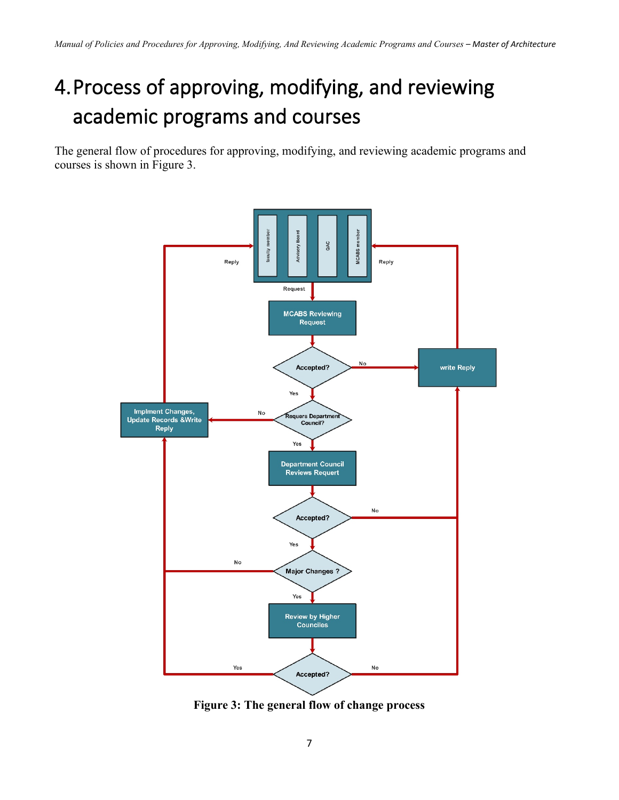## <span id="page-7-0"></span>4.Process of approving, modifying, and reviewing academic programs and courses

The general flow of procedures for approving, modifying, and reviewing academic programs and courses is shown in Figure 3.



<span id="page-7-1"></span>**Figure 3: The general flow of change process**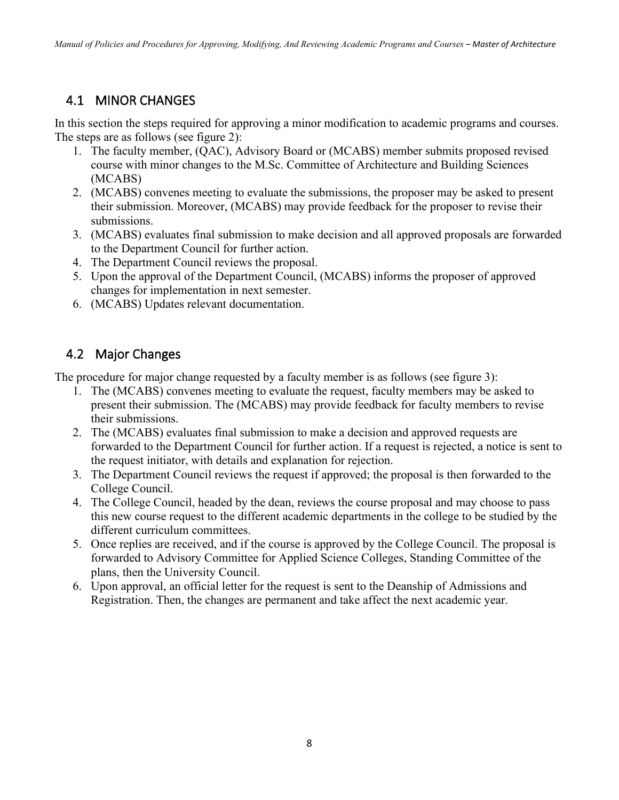### <span id="page-8-0"></span>4.1 MINOR CHANGES

In this section the steps required for approving a minor modification to academic programs and courses. The steps are as follows (see figure 2):

- 1. The faculty member, (QAC), Advisory Board or (MCABS) member submits proposed revised course with minor changes to the M.Sc. Committee of Architecture and Building Sciences (MCABS)
- 2. (MCABS) convenes meeting to evaluate the submissions, the proposer may be asked to present their submission. Moreover, (MCABS) may provide feedback for the proposer to revise their submissions.
- 3. (MCABS) evaluates final submission to make decision and all approved proposals are forwarded to the Department Council for further action.
- 4. The Department Council reviews the proposal.
- 5. Upon the approval of the Department Council, (MCABS) informs the proposer of approved changes for implementation in next semester.
- 6. (MCABS) Updates relevant documentation.

### <span id="page-8-1"></span>4.2 Major Changes

The procedure for major change requested by a faculty member is as follows (see figure 3):

- 1. The (MCABS) convenes meeting to evaluate the request, faculty members may be asked to present their submission. The (MCABS) may provide feedback for faculty members to revise their submissions.
- 2. The (MCABS) evaluates final submission to make a decision and approved requests are forwarded to the Department Council for further action. If a request is rejected, a notice is sent to the request initiator, with details and explanation for rejection.
- 3. The Department Council reviews the request if approved; the proposal is then forwarded to the College Council.
- 4. The College Council, headed by the dean, reviews the course proposal and may choose to pass this new course request to the different academic departments in the college to be studied by the different curriculum committees.
- 5. Once replies are received, and if the course is approved by the College Council. The proposal is forwarded to Advisory Committee for Applied Science Colleges, Standing Committee of the plans, then the University Council.
- 6. Upon approval, an official letter for the request is sent to the Deanship of Admissions and Registration. Then, the changes are permanent and take affect the next academic year.